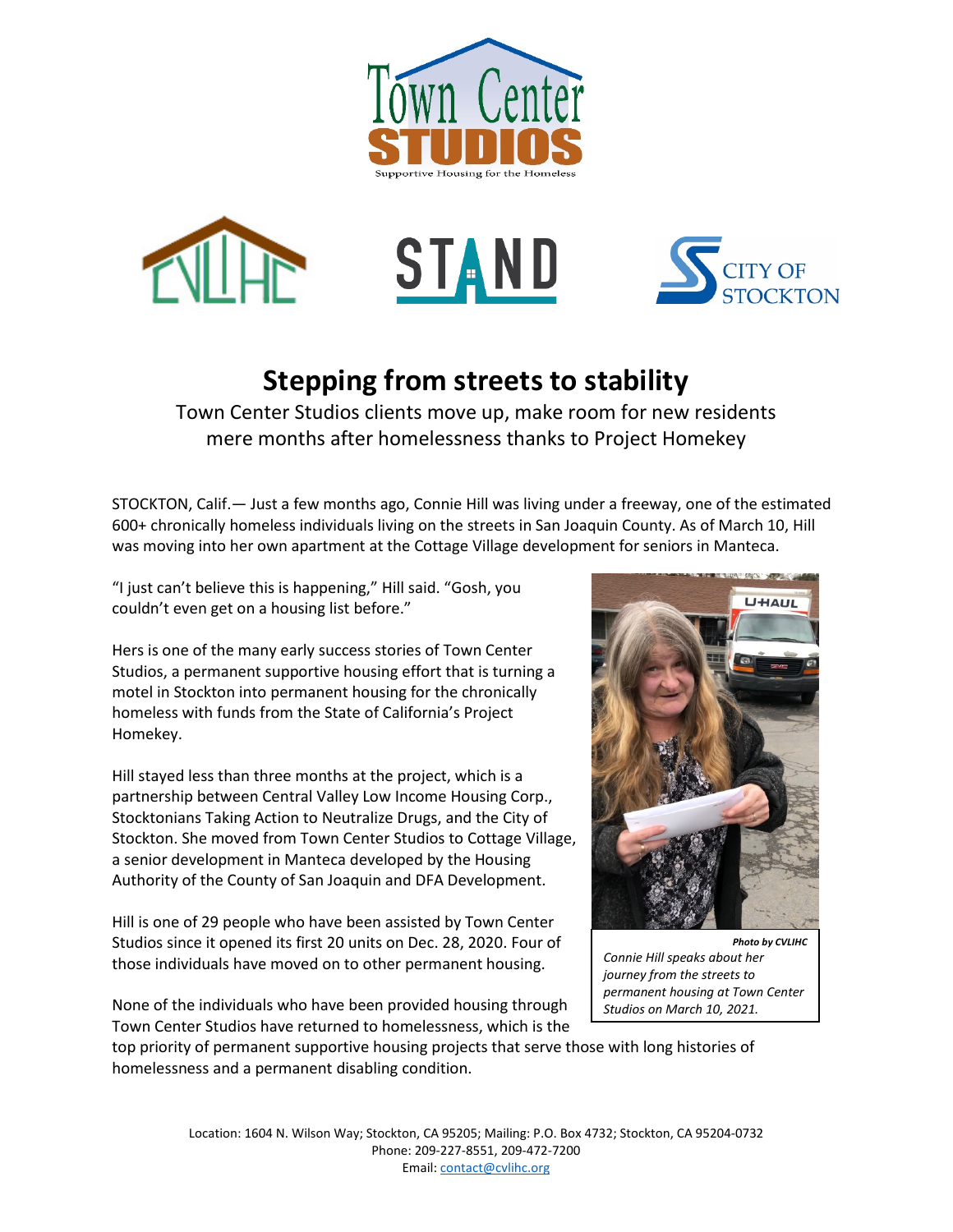







## **Stepping from streets to stability**

Town Center Studios clients move up, make room for new residents mere months after homelessness thanks to Project Homekey

STOCKTON, Calif.— Just a few months ago, Connie Hill was living under a freeway, one of the estimated 600+ chronically homeless individuals living on the streets in San Joaquin County. As of March 10, Hill was moving into her own apartment at the Cottage Village development for seniors in Manteca.

"I just can't believe this is happening," Hill said. "Gosh, you couldn't even get on a housing list before."

Hers is one of the many early success stories of Town Center Studios, a permanent supportive housing effort that is turning a motel in Stockton into permanent housing for the chronically homeless with funds from the State of California's Project Homekey.

Hill stayed less than three months at the project, which is a partnership between Central Valley Low Income Housing Corp., Stocktonians Taking Action to Neutralize Drugs, and the City of Stockton. She moved from Town Center Studios to Cottage Village, a senior development in Manteca developed by the Housing Authority of the County of San Joaquin and DFA Development.

Hill is one of 29 people who have been assisted by Town Center Studios since it opened its first 20 units on Dec. 28, 2020. Four of those individuals have moved on to other permanent housing.

None of the individuals who have been provided housing through Town Center Studios have returned to homelessness, which is the

top priority of permanent supportive housing projects that serve those with long histories of homelessness and a permanent disabling condition.



*Connie Hill speaks about her journey from the streets to permanent housing at Town Center Studios on March 10, 2021.*